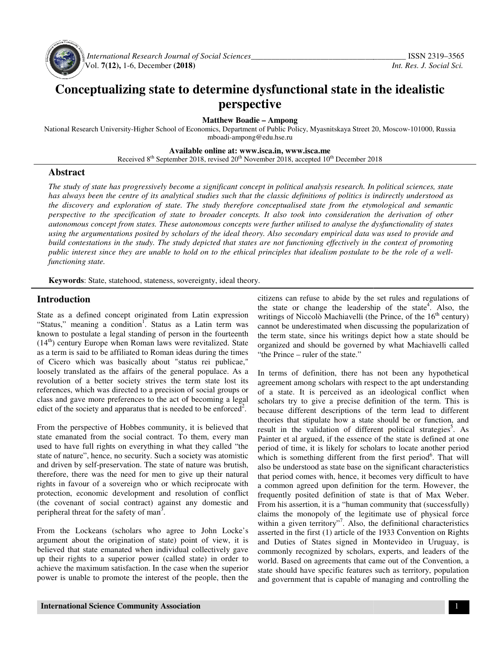

 *International Research Journal Journal of Social Sciences\_\_\_\_\_\_\_\_\_\_\_\_\_\_\_\_\_\_\_\_\_\_\_\_\_\_\_\_\_\_\_\_\_\_\_* Vol. **7(12),** 1-6, December **(2018)**

# **Conceptualizing state to determine dysfunctional state in the idealistic perspective**

**Matthew Boadie – Ampong** 

National Research University-Higher School of Economics, Department of Public Policy, Myasnitskaya Street 20, Moscow-101000, Russia mboadi-ampong@edu.hse.ru

**Available Available online at: www.isca.in, www.isca.me** 

Received 8<sup>th</sup> September 2018, revised 20<sup>th</sup> November 2018, accepted 10<sup>th</sup> December 2018

### **Abstract**

*The study of state has progressively become a significant concept in political analysis research. In political sciences, stat state*  has always been the centre of its analytical studies such that the classic definitions of politics is indirectly understood as *the discovery and exploration of state. The study therefore conceptualised state from the etymological and semantic perspective to the specification of state to broader concepts. It also took into consideration the derivation of other autonomous concept from states. These autonomous concepts were further utilised to analyse the dysfunctionality of states using the argumentations posited by scholars of the ideal theory. Also secondary empirical data was used to provide and build contestations in the study. The study depicted that states are not functioning effectively in the context of promoting public interest since they are unable to hold on to the ethical principles that idealism postulate to be the role of a wellfunctioning state.*  The study of state has progressively become a significant concept in political analysis research. In political sciences, state has always been the centre of its analytical studies such that the classic definitions of polit

**Keywords**: State, statehood, stateness, sovereignty, ideal theory.

### **Introduction**

State as a defined concept originated from Latin expression "Status," meaning a condition<sup>1</sup>. Status as a Latin term was known to postulate a legal standing of person in the fourteenth  $(14<sup>th</sup>)$  century Europe when Roman laws were revitalized. State as a term is said to be affiliated to Roman ideas during the times of Cicero which was basically about "status rei publicae," loosely translated as the affairs of the general populace. As a revolution of a better society strives the term state lost its references, which was directed to a precision of social groups or class and gave more preferences to the act of becoming a legal edict of the society and apparatus that is needed to be enforced<sup>2</sup>. **Summary Exercise State, statehood, stateness, sovereignty, ideal theo**<br> **duction**<br>
as a defined concept originated from Latin expression<br>
s," meaning a condition<sup>1</sup>. Status as a Latin term was<br>
to postulate a legal standi

From the perspective of Hobbes community, it is believed that state emanated from the social contract. To them, every man used to have full rights on everything in what they called "the state of nature", hence, no security. Such a society was atomistic and driven by self-preservation. The state of nature was brutish, therefore, there was the need for men to give up their natural rights in favour of a sovereign who or which reciprocate with protection, economic development and resol (the covenant of social contract) against any domestic and peripheral threat for the safety of man<sup>3</sup>. From the perspective of Hobbes community, it is believed that state emanated from the social contract. To them, every man used to have full rights on everything in what they called "the state of nature", hence, no security

From the Lockeans (scholars who agree to John Locke's argument about the origination of state) point of view, it is believed that state emanated when individual collectively gave up their rights to a superior power (called state) in order to achieve the maximum satisfaction. In the case when the superior power is unable to promote the interest of the people, then the

the state or change the leadership of the state<sup>4</sup>. Also, the writings of Niccolò Machiavelli (the Prince, of the  $16<sup>th</sup>$  century) cannot be underestimated when discussing the popularization of the term state, since his writings depict how a state should be organized and should be governed by what Machiavelli called "the Prince – ruler of the state." cannot be underestimated when discussing the popularization of<br>the term state, since his writings depict how a state should be<br>organized and should be governed by what Machiavelli called<br>"the Prince – ruler of the state."<br>

**Introduction**<br>
ities can as the state of change to this state of change of the set when the system is state to some the system and the Pinece, of the 10<sup>h</sup> century<br>
State as a diam ferm was cannot be understanded when dis In terms of definition, there has not been any hypothetical agreement among scholars with respect to the apt understanding of a state. It is perceived as an ideological conflict when scholars try to give a precise definition of the term. This is because different descriptions of the term lead to different theories that stipulate how a state should be or function, result in the validation of different political strategies<sup>5</sup>. As Painter et al argued, if the essence of the state is defined at one period of time, it is likely for scholars to locate another period which is something different from the first period<sup>o</sup>. That will also be understood as state base on the significant characteristics that period comes with, hence, it becomes very difficult to have a common agreed upon definition for the term. However, the frequently posited definition of state is that of Max From his assertion, it is a "human community that (successfully) claims the monopoly of the legitimate use of physical force within a given territory"<sup>7</sup>. Also, the definitional characteristics asserted in the first (1) article of the 1933 Convention on Rights and Duties of States signed in Montevideo in Uruguay, is commonly recognized by scholars, experts, and leaders of the and Duties of States signed in Montevideo in Uruguay, is commonly recognized by scholars, experts, and leaders world. Based on agreements that came out of the Convention, a state should have specific features such as territory, population and government that is capable of managing and controlling the state should have specific features such as territory, population and government that is capable of managing and controlling the state. It is perceived as an ideological conflict when<br>its try to give a precise definition of the term. This is<br>se different descriptions of the term lead to different<br>es that stipulate how a state should be or function, Painter et al argued, if the essence of the state is defined at period of time, it is likely for scholars to locate another period is something different from the first period <sup>6</sup>. That be understood as state base on the significant characteristics<br>period comes with, hence, it becomes very difficult to have<br>mmon agreed upon definition for the term. However, the<br>uently posited definition of state is that o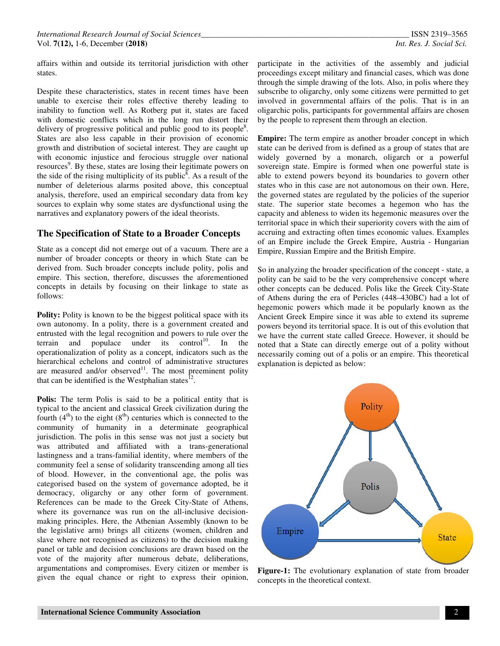affairs within and outside its territorial jurisdiction with other states.

Despite these characteristics, states in recent times have been unable to exercise their roles effective thereby leading to inability to function well. As Rotberg put it, states are faced with domestic conflicts which in the long run distort their delivery of progressive political and public good to its people $8$ . States are also less capable in their provision of economic growth and distribution of societal interest. They are caught up with economic injustice and ferocious struggle over national resources<sup>9</sup>. By these, states are losing their legitimate powers on the side of the rising multiplicity of its public<sup> $\bar{\delta}$ </sup>. As a result of the number of deleterious alarms posited above, this conceptual analysis, therefore, used an empirical secondary data from key sources to explain why some states are dysfunctional using the narratives and explanatory powers of the ideal theorists.

### **The Specification of State to a Broader Concepts**

State as a concept did not emerge out of a vacuum. There are a number of broader concepts or theory in which State can be derived from. Such broader concepts include polity, polis and empire. This section, therefore, discusses the aforementioned concepts in details by focusing on their linkage to state as follows:

**Polity:** Polity is known to be the biggest political space with its own autonomy. In a polity, there is a government created and entrusted with the legal recognition and powers to rule over the terrain and populace under its control<sup>10</sup>. In the operationalization of polity as a concept, indicators such as the hierarchical echelons and control of administrative structures are measured and/or observed $11$ . The most preeminent polity that can be identified is the Westphalian states $^{12}$ .

**Polis:** The term Polis is said to be a political entity that is typical to the ancient and classical Greek civilization during the fourth  $(4<sup>th</sup>)$  to the eight  $(8<sup>th</sup>)$  centuries which is connected to the community of humanity in a determinate geographical jurisdiction. The polis in this sense was not just a society but was attributed and affiliated with a trans-generational lastingness and a trans-familial identity, where members of the community feel a sense of solidarity transcending among all ties of blood. However, in the conventional age, the polis was categorised based on the system of governance adopted, be it democracy, oligarchy or any other form of government. References can be made to the Greek City-State of Athens, where its governance was run on the all-inclusive decisionmaking principles. Here, the Athenian Assembly (known to be the legislative arm) brings all citizens (women, children and slave where not recognised as citizens) to the decision making panel or table and decision conclusions are drawn based on the vote of the majority after numerous debate, deliberations, argumentations and compromises. Every citizen or member is given the equal chance or right to express their opinion,

participate in the activities of the assembly and judicial proceedings except military and financial cases, which was done through the simple drawing of the lots. Also, in polis where they subscribe to oligarchy, only some citizens were permitted to get involved in governmental affairs of the polis. That is in an oligarchic polis, participants for governmental affairs are chosen by the people to represent them through an election.

**Empire:** The term empire as another broader concept in which state can be derived from is defined as a group of states that are widely governed by a monarch, oligarch or a powerful sovereign state. Empire is formed when one powerful state is able to extend powers beyond its boundaries to govern other states who in this case are not autonomous on their own. Here, the governed states are regulated by the policies of the superior state. The superior state becomes a hegemon who has the capacity and ableness to widen its hegemonic measures over the territorial space in which their superiority covers with the aim of accruing and extracting often times economic values. Examples of an Empire include the Greek Empire, Austria - Hungarian Empire, Russian Empire and the British Empire.

So in analyzing the broader specification of the concept - state, a polity can be said to be the very comprehensive concept where other concepts can be deduced. Polis like the Greek City-State of Athens during the era of Pericles (448–430BC) had a lot of hegemonic powers which made it be popularly known as the Ancient Greek Empire since it was able to extend its supreme powers beyond its territorial space. It is out of this evolution that we have the current state called Greece. However, it should be noted that a State can directly emerge out of a polity without necessarily coming out of a polis or an empire. This theoretical explanation is depicted as below:



**Figure-1:** The evolutionary explanation of state from broader concepts in the theoretical context.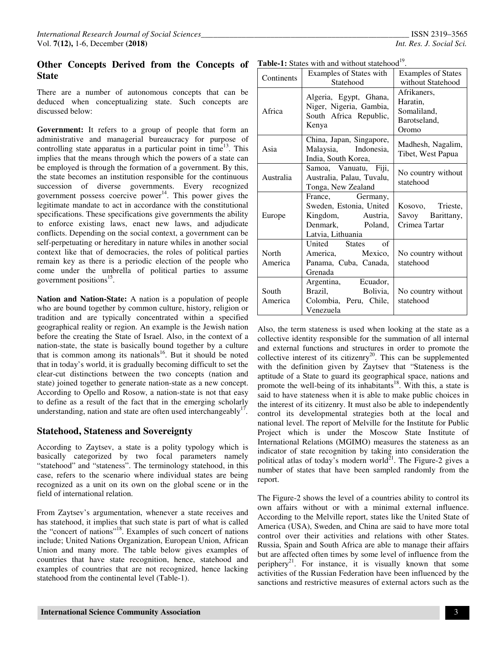# **Other Concepts Derived from the Concepts of State**

There are a number of autonomous concepts that can be deduced when conceptualizing state. Such concepts are discussed below:

**Government:** It refers to a group of people that form an administrative and managerial bureaucracy for purpose of controlling state apparatus in a particular point in time<sup>13</sup>. This implies that the means through which the powers of a state can be employed is through the formation of a government. By this, the state becomes an institution responsible for the continuous succession of diverse governments. Every recognized government possess coercive power $14$ . This power gives the legitimate mandate to act in accordance with the constitutional specifications. These specifications give governments the ability to enforce existing laws, enact new laws, and adjudicate conflicts. Depending on the social context, a government can be self-perpetuating or hereditary in nature whiles in another social context like that of democracies, the roles of political parties remain key as there is a periodic election of the people who come under the umbrella of political parties to assume government positions<sup>15</sup>.

**Nation and Nation-State:** A nation is a population of people who are bound together by common culture, history, religion or tradition and are typically concentrated within a specified geographical reality or region. An example is the Jewish nation before the creating the State of Israel. Also, in the context of a nation-state, the state is basically bound together by a culture that is common among its nationals<sup>16</sup>. But it should be noted that in today's world, it is gradually becoming difficult to set the clear-cut distinctions between the two concepts (nation and state) joined together to generate nation-state as a new concept. According to Opello and Rosow, a nation-state is not that easy to define as a result of the fact that in the emerging scholarly understanding, nation and state are often used interchangeably<sup>17</sup>.

#### **Statehood, Stateness and Sovereignty**

According to Zaytsev, a state is a polity typology which is basically categorized by two focal parameters namely "statehood" and "stateness". The terminology statehood, in this case, refers to the scenario where individual states are being recognized as a unit on its own on the global scene or in the field of international relation.

From Zaytsev's argumentation, whenever a state receives and has statehood, it implies that such state is part of what is called the "concert of nations"<sup>18</sup>. Examples of such concert of nations include; United Nations Organization, European Union, African Union and many more. The table below gives examples of countries that have state recognition, hence, statehood and examples of countries that are not recognized, hence lacking statehood from the continental level (Table-1).

| <b>Table-1:</b> States with and without statehood <sup>19</sup> . |                                                                                                           |                                                                 |
|-------------------------------------------------------------------|-----------------------------------------------------------------------------------------------------------|-----------------------------------------------------------------|
| Continents                                                        | Examples of States with                                                                                   | <b>Examples of States</b>                                       |
|                                                                   | Statehood                                                                                                 | without Statehood                                               |
| Africa                                                            | Algeria, Egypt, Ghana,<br>Niger, Nigeria, Gambia,<br>South Africa Republic,<br>Kenya                      | Afrikaners,<br>Haratin.<br>Somaliland.<br>Barotseland,<br>Oromo |
| Asia                                                              | China, Japan, Singapore,<br>Malaysia, Indonesia,<br>India, South Korea,                                   | Madhesh, Nagalim,<br>Tibet, West Papua                          |
| Australia                                                         | Samoa, Vanuatu, Fiji,<br>Australia, Palau, Tuvalu,<br>Tonga, New Zealand                                  | No country without<br>statehood                                 |
| Europe                                                            | France, Germany,<br>Sweden, Estonia, United<br>Kingdom, Austria,<br>Denmark, Poland,<br>Latvia, Lithuania | Kosovo, Trieste,<br>Savoy Barittany,<br>Crimea Tartar           |
| North<br>America                                                  | United States of<br>Mexico,<br>America,<br>Panama, Cuba, Canada,<br>Grenada                               | No country without<br>statehood                                 |
| South<br>America                                                  | Argentina, Ecuador,<br>Brazil, Bolivia,<br>Colombia, Peru, Chile,<br>Venezuela                            | No country without<br>statehood                                 |

**Table-1:** States with and without statehood<sup>19</sup>

Also, the term stateness is used when looking at the state as a collective identity responsible for the summation of all internal and external functions and structures in order to promote the collective interest of its citizenry<sup>20</sup>. This can be supplemented with the definition given by Zaytsev that "Stateness is the aptitude of a State to guard its geographical space, nations and promote the well-being of its inhabitants<sup>18</sup>. With this, a state is said to have stateness when it is able to make public choices in the interest of its citizenry. It must also be able to independently control its developmental strategies both at the local and national level. The report of Melville for the Institute for Public Project which is under the Moscow State Institute of International Relations (MGIMO) measures the stateness as an indicator of state recognition by taking into consideration the political atlas of today's modern world<sup>21</sup>. The Figure-2 gives a number of states that have been sampled randomly from the report.

The Figure-2 shows the level of a countries ability to control its own affairs without or with a minimal external influence. According to the Melville report, states like the United State of America (USA), Sweden, and China are said to have more total control over their activities and relations with other States. Russia, Spain and South Africa are able to manage their affairs but are affected often times by some level of influence from the periphery<sup>21</sup>. For instance, it is visually known that some activities of the Russian Federation have been influenced by the sanctions and restrictive measures of external actors such as the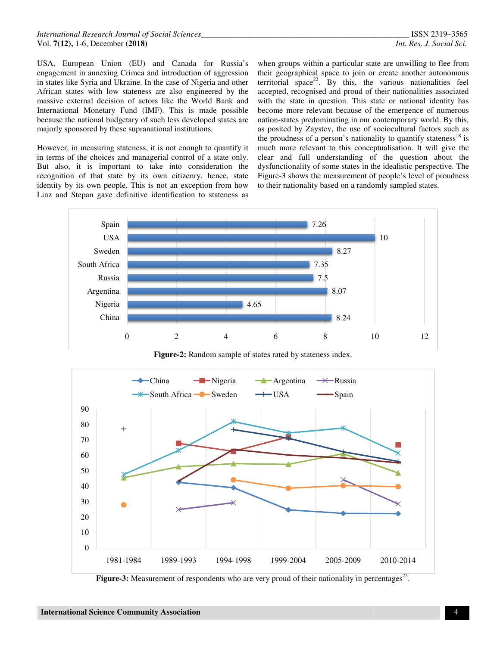USA, European Union (EU) and Canada for Russia's engagement in annexing Crimea and introduction of aggression engagement in annexing Crimea and introduction of aggression<br>in states like Syria and Ukraine. In the case of Nigeria and other African states with low stateness are also engineered by the massive external decision of actors like the World Bank and International Monetary Fund (IMF). This is made possible because the national budgetary of such less developed states are majorly sponsored by these supranational institutions.

However, in measuring stateness, it is not enough to quantify it in terms of the choices and managerial control of a state only. But also, it is important to take into consideration the recognition of that state by its own citizenry, hence, state identity by its own people. This is not an exception from how Linz and Stepan gave definitive identification to stateness as

USA, European Union (EU) and Canada for Russia's when groups within a particular state are unwilling to flee from<br>engagement in annexing Crimea and introduction of aggression their geographical space to join or create anot their geographical space to join or create another autonomous territorial space<sup>22</sup>. By this, the various nationalities feel accepted, recognised and proud of their nationalities associated with the state in question. This state or national identity has become more relevant because of the emergence of numerous nation-states predominating in our contemporary world. By this, as posited by Zaystev, the use of sociocultural factors such as the proudness of a person's nationality to quantify stateness<sup>18</sup> is much more relevant to this conceptualisation. It will give the clear and full understanding of the question about the dysfunctionality of some states in the idealistic perspective. The Figure-3 shows the measurement of people's level of proudness to their nationality based on a randomly sampled states groups within a particular state are unwilling to flee from<br>eographical space to join or create another autonomous<br>ial space<sup>22</sup>. By this, the various nationalities feel<br>ed, recognised and proud of their nationalities ass of some states in the idealistic perspect<br>the measurement of people's level of pr<br>ty based on a randomly sampled states.



**Figure-2:** Random sample of states rated by stateness index.



Figure-3: Measurement of respondents who are very proud of their nationality in percentages<sup>23</sup>.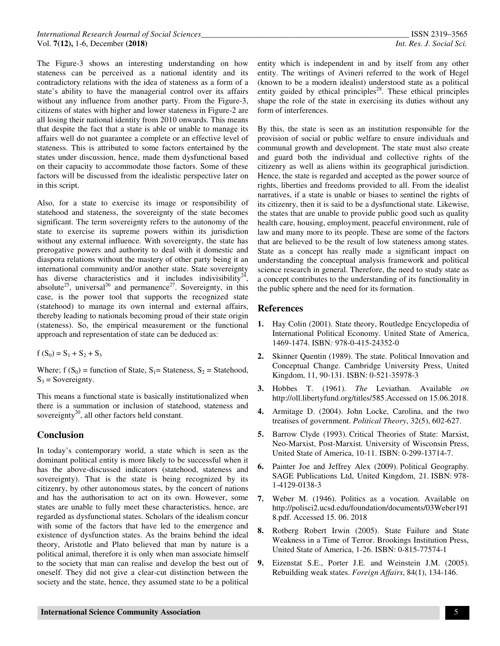The Figure-3 shows an interesting understanding on how stateness can be perceived as a national identity and its contradictory relations with the idea of stateness as a form of a state's ability to have the managerial control over its affairs without any influence from another party. From the Figure-3, citizens of states with higher and lower stateness in Figure-2 are all losing their national identity from 2010 onwards. This means that despite the fact that a state is able or unable to manage its affairs well do not guarantee a complete or an effective level of stateness. This is attributed to some factors entertained by the states under discussion, hence, made them dysfunctional based on their capacity to accommodate those factors. Some of these factors will be discussed from the idealistic perspective later on in this script.

Also, for a state to exercise its image or responsibility of statehood and stateness, the sovereignty of the state becomes significant. The term sovereignty refers to the autonomy of the state to exercise its supreme powers within its jurisdiction without any external influence. With sovereignty, the state has prerogative powers and authority to deal with it domestic and diaspora relations without the mastery of other party being it an international community and/or another state. State sovereignty has diverse characteristics and it includes indivisibility<sup>22</sup> , absolute<sup>25</sup>, universal<sup>26</sup> and permanence<sup>27</sup>. Sovereignty, in this case, is the power tool that supports the recognized state (statehood) to manage its own internal and external affairs, thereby leading to nationals becoming proud of their state origin (stateness). So, the empirical measurement or the functional approach and representation of state can be deduced as:

 $f(S_0) = S_1 + S_2 + S_3$ 

Where;  $f(S_0)$  = function of State,  $S_1$  = Stateness,  $S_2$  = Statehood,  $S_3$  = Sovereignty.

This means a functional state is basically institutionalized when there is a summation or inclusion of statehood, stateness and sovereignty<sup>20</sup>, all other factors held constant.

# **Conclusion**

In today's contemporary world, a state which is seen as the dominant political entity is more likely to be successful when it has the above-discussed indicators (statehood, stateness and sovereignty). That is the state is being recognized by its citizenry, by other autonomous states, by the concert of nations and has the authorisation to act on its own. However, some states are unable to fully meet these characteristics, hence, are regarded as dysfunctional states. Scholars of the idealism concur with some of the factors that have led to the emergence and existence of dysfunction states. As the brains behind the ideal theory, Aristotle and Plato believed that man by nature is a political animal, therefore it is only when man associate himself to the society that man can realise and develop the best out of oneself. They did not give a clear-cut distinction between the society and the state, hence, they assumed state to be a political

entity which is independent in and by itself from any other entity. The writings of Avineri referred to the work of Hegel (known to be a modern idealist) understood state as a political entity guided by ethical principles<sup>28</sup>. These ethical principles shape the role of the state in exercising its duties without any form of interferences.

By this, the state is seen as an institution responsible for the provision of social or public welfare to ensure individuals and communal growth and development. The state must also create and guard both the individual and collective rights of the citizenry as well as aliens within its geographical jurisdiction. Hence, the state is regarded and accepted as the power source of rights, liberties and freedoms provided to all. From the idealist narratives, if a state is unable or biases to sentinel the rights of its citizenry, then it is said to be a dysfunctional state. Likewise, the states that are unable to provide public good such as quality health care, housing, employment, peaceful environment, rule of law and many more to its people. These are some of the factors that are believed to be the result of low stateness among states. State as a concept has really made a significant impact on understanding the conceptual analysis framework and political science research in general. Therefore, the need to study state as a concept contributes to the understanding of its functionality in the public sphere and the need for its formation.

## **References**

- **1.** Hay Colin (2001). State theory, Routledge Encyclopedia of International Political Economy. United State of America, 1469-1474. ISBN*:* 978-0-415-24352-0
- **2.** Skinner Quentin (1989). The state. Political Innovation and Conceptual Change. Cambridge University Press, United Kingdom, 11, 90-131. ISBN: 0-521-35978-3
- **3.** Hobbes T. (1961). *The* Leviathan. Available *on*  http://oll.libertyfund.org/titles/585.Accessed on 15.06.2018.
- **4.** Armitage D. (2004). John Locke, Carolina, and the two treatises of government. *Political Theory*, 32(5), 602-627.
- **5.** Barrow Clyde (1993). Critical Theories of State: Marxist, Neo-Marxist, Post-Marxist*.* University of Wisconsin Press, United State of America, 10-11. ISBN: 0-299-13714-7.
- **6.** Painter Joe and Jeffrey Alex (2009). Political Geography. SAGE Publications Ltd, United Kingdom, 21. ISBN: 978- 1-4129-0138-3
- **7.** Weber M. (1946). Politics as a vocation. Available on http://polisci2.ucsd.edu/foundation/documents/03Weber191 8.pdf. Accessed 15. 06. 2018
- **8.** Rotberg Robert Irwin (2005). State Failure and State Weakness in a Time of Terror. Brookings Institution Press, United State of America, 1-26. ISBN: 0-815-77574-1
- **9.** Eizenstat S.E., Porter J.E. and Weinstein J.M. (2005). Rebuilding weak states. *Foreign Affairs*, 84(1), 134-146.